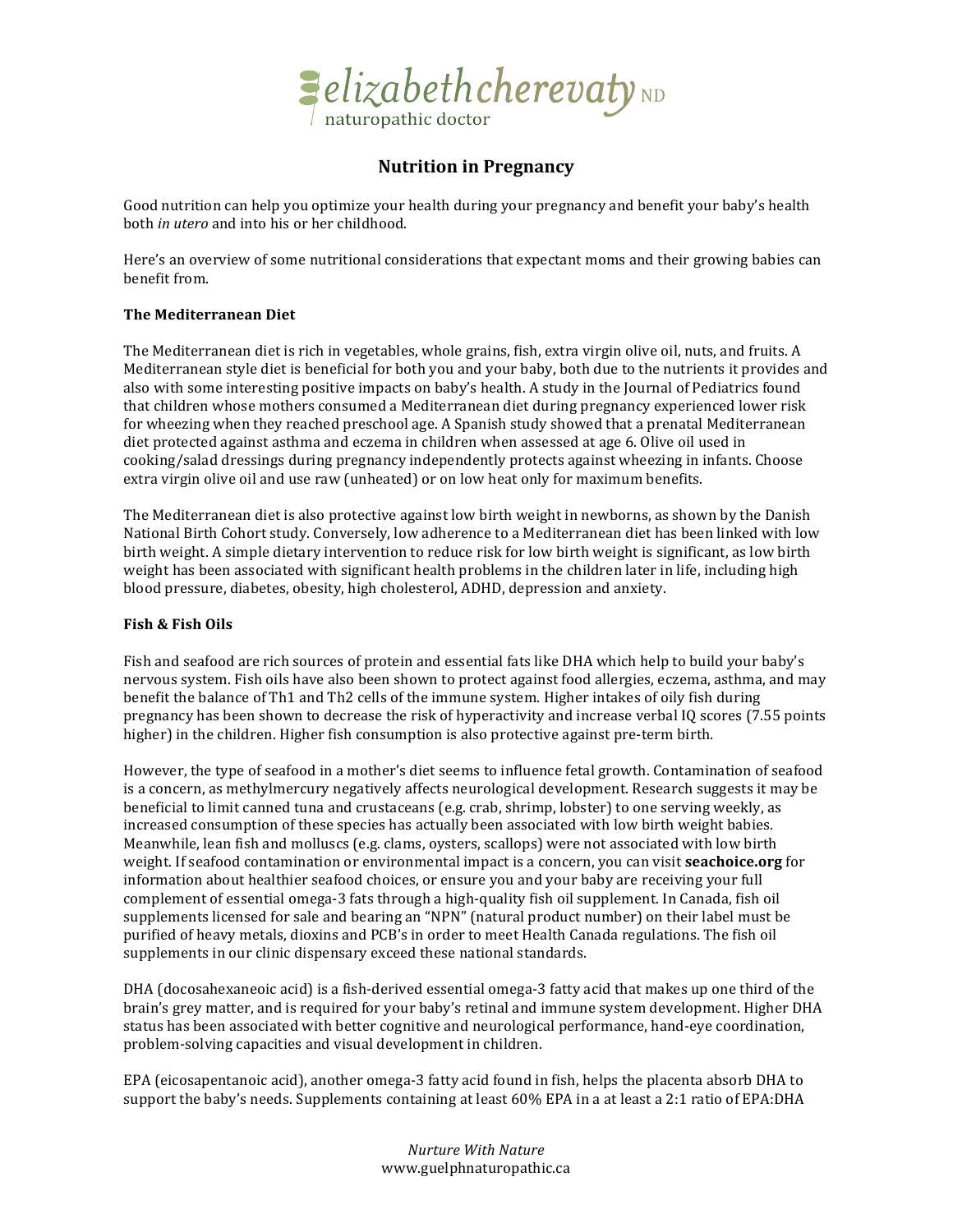

# **Nutrition in Pregnancy**

Good nutrition can help you optimize your health during your pregnancy and benefit your baby's health both *in utero* and into his or her childhood.

Here's an overview of some nutritional considerations that expectant moms and their growing babies can benefit from.

## **The!Mediterranean!Diet**

The Mediterranean diet is rich in vegetables, whole grains, fish, extra virgin olive oil, nuts, and fruits. A Mediterranean style diet is beneficial for both you and your baby, both due to the nutrients it provides and also with some interesting positive impacts on baby's health. A study in the Journal of Pediatrics found that children whose mothers consumed a Mediterranean diet during pregnancy experienced lower risk for wheezing when they reached preschool age. A Spanish study showed that a prenatal Mediterranean diet protected against asthma and eczema in children when assessed at age 6. Olive oil used in cooking/salad dressings during pregnancy independently protects against wheezing in infants. Choose extra virgin olive oil and use raw (unheated) or on low heat only for maximum benefits.

The Mediterranean diet is also protective against low birth weight in newborns, as shown by the Danish National Birth Cohort study. Conversely, low adherence to a Mediterranean diet has been linked with low birth weight. A simple dietary intervention to reduce risk for low birth weight is significant, as low birth weight has been associated with significant health problems in the children later in life, including high blood pressure, diabetes, obesity, high cholesterol, ADHD, depression and anxiety.

# Fish & Fish Oils

Fish and seafood are rich sources of protein and essential fats like DHA which help to build your baby's nervous system. Fish oils have also been shown to protect against food allergies, eczema, asthma, and may benefit the balance of Th1 and Th2 cells of the immune system. Higher intakes of oily fish during pregnancy has been shown to decrease the risk of hyperactivity and increase verbal IQ scores (7.55 points higher) in the children. Higher fish consumption is also protective against pre-term birth.

However, the type of seafood in a mother's diet seems to influence fetal growth. Contamination of seafood is a concern, as methylmercury negatively affects neurological development. Research suggests it may be beneficial to limit canned tuna and crustaceans (e.g. crab, shrimp, lobster) to one serving weekly, as increased consumption of these species has actually been associated with low birth weight babies. Meanwhile, lean fish and molluscs (e.g. clams, oysters, scallops) were not associated with low birth weight. If seafood contamination or environmental impact is a concern, you can visit **seachoice.org** for information about healthier seafood choices, or ensure you and your baby are receiving your full complement of essential omega-3 fats through a high-quality fish oil supplement. In Canada, fish oil supplements licensed for sale and bearing an "NPN" (natural product number) on their label must be purified of heavy metals, dioxins and PCB's in order to meet Health Canada regulations. The fish oil supplements in our clinic dispensary exceed these national standards.

DHA (docosahexaneoic acid) is a fish-derived essential omega-3 fatty acid that makes up one third of the brain's grey matter, and is required for your baby's retinal and immune system development. Higher DHA status has been associated with better cognitive and neurological performance, hand-eye coordination, problem-solving capacities and visual development in children.

EPA (eicosapentanoic acid), another omega-3 fatty acid found in fish, helps the placenta absorb DHA to support the baby's needs. Supplements containing at least 60% EPA in a at least a 2:1 ratio of EPA:DHA

> *Nurture&With&Nature* www.guelphnaturopathic.ca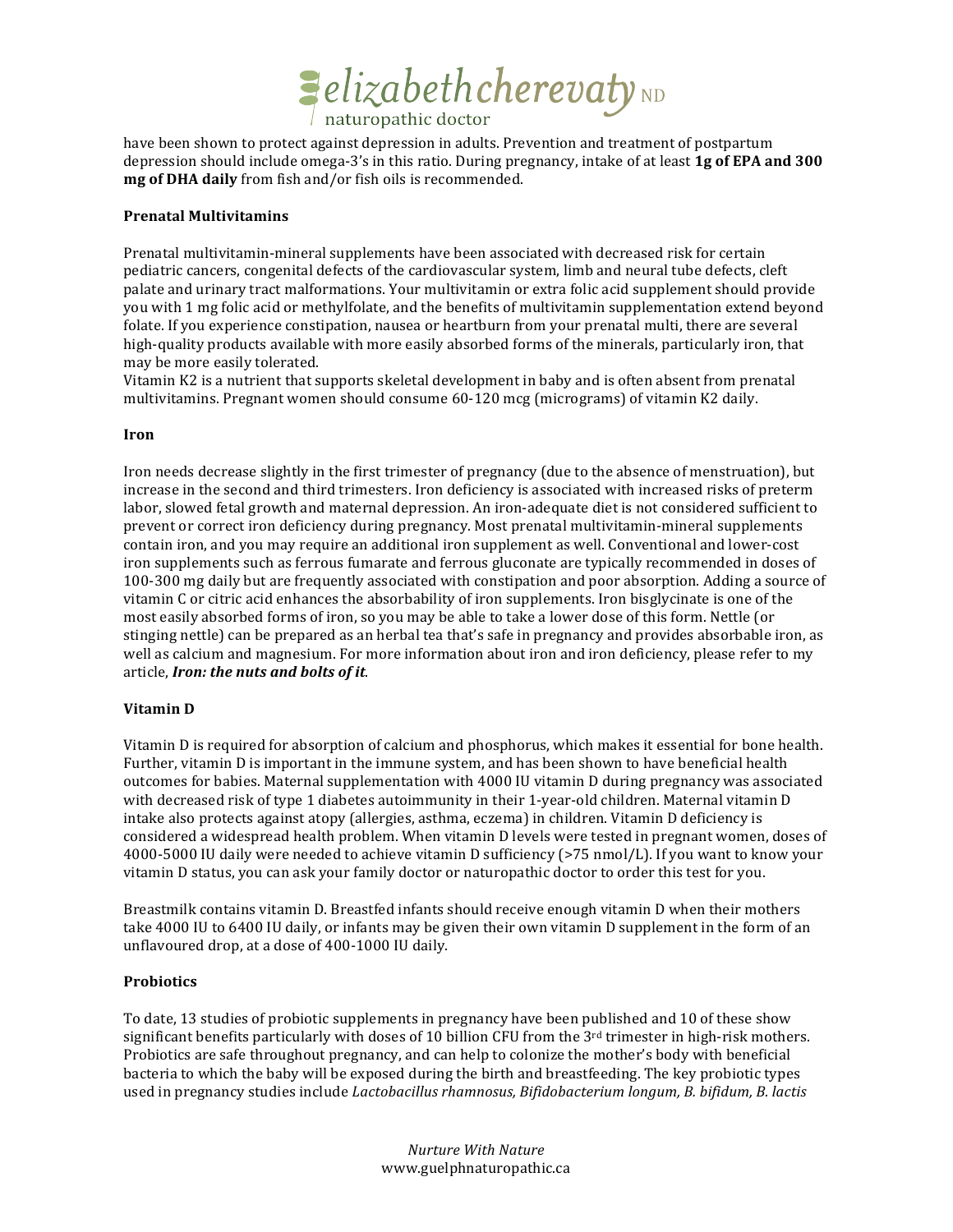

have been shown to protect against depression in adults. Prevention and treatment of postpartum depression should include omega-3's in this ratio. During pregnancy, intake of at least 1g of EPA and 300 mg of DHA daily from fish and/or fish oils is recommended.

#### **Prenatal Multivitamins**

Prenatal multivitamin-mineral supplements have been associated with decreased risk for certain pediatric cancers, congenital defects of the cardiovascular system, limb and neural tube defects, cleft palate and urinary tract malformations. Your multivitamin or extra folic acid supplement should provide you with 1 mg folic acid or methylfolate, and the benefits of multivitamin supplementation extend beyond folate. If you experience constipation, nausea or heartburn from your prenatal multi, there are several high-quality products available with more easily absorbed forms of the minerals, particularly iron, that may be more easily tolerated.

Vitamin K2 is a nutrient that supports skeletal development in baby and is often absent from prenatal multivitamins. Pregnant women should consume 60-120 mcg (micrograms) of vitamin K2 daily.

## **Iron**

Iron needs decrease slightly in the first trimester of pregnancy (due to the absence of menstruation), but increase in the second and third trimesters. Iron deficiency is associated with increased risks of preterm labor, slowed fetal growth and maternal depression. An iron-adequate diet is not considered sufficient to prevent or correct iron deficiency during pregnancy. Most prenatal multivitamin-mineral supplements contain iron, and you may require an additional iron supplement as well. Conventional and lower-cost iron supplements such as ferrous fumarate and ferrous gluconate are typically recommended in doses of 100-300 mg daily but are frequently associated with constipation and poor absorption. Adding a source of vitamin C or citric acid enhances the absorbability of iron supplements. Iron bisglycinate is one of the most easily absorbed forms of iron, so you may be able to take a lower dose of this form. Nettle (or stinging nettle) can be prepared as an herbal tea that's safe in pregnancy and provides absorbable iron, as well as calcium and magnesium. For more information about iron and iron deficiency, please refer to my article, Iron: the nuts and bolts of it.

# Vitamin D

Vitamin D is required for absorption of calcium and phosphorus, which makes it essential for bone health. Further, vitamin D is important in the immune system, and has been shown to have beneficial health outcomes for babies. Maternal supplementation with 4000 IU vitamin D during pregnancy was associated with decreased risk of type 1 diabetes autoimmunity in their 1-year-old children. Maternal vitamin D intake also protects against atopy (allergies, asthma, eczema) in children. Vitamin D deficiency is considered a widespread health problem. When vitamin D levels were tested in pregnant women, doses of 4000-5000 IU daily were needed to achieve vitamin D sufficiency (>75 nmol/L). If you want to know your vitamin D status, you can ask your family doctor or naturopathic doctor to order this test for you.

Breastmilk contains vitamin D. Breastfed infants should receive enough vitamin D when their mothers take 4000 IU to 6400 IU daily, or infants may be given their own vitamin D supplement in the form of an unflavoured drop, at a dose of 400-1000 IU daily.

#### **Probiotics**

To date, 13 studies of probiotic supplements in pregnancy have been published and 10 of these show significant benefits particularly with doses of 10 billion CFU from the 3<sup>rd</sup> trimester in high-risk mothers. Probiotics are safe throughout pregnancy, and can help to colonize the mother's body with beneficial bacteria to which the baby will be exposed during the birth and breastfeeding. The key probiotic types used in pregnancy studies include Lactobacillus rhamnosus, Bifidobacterium longum, B. bifidum, B. lactis